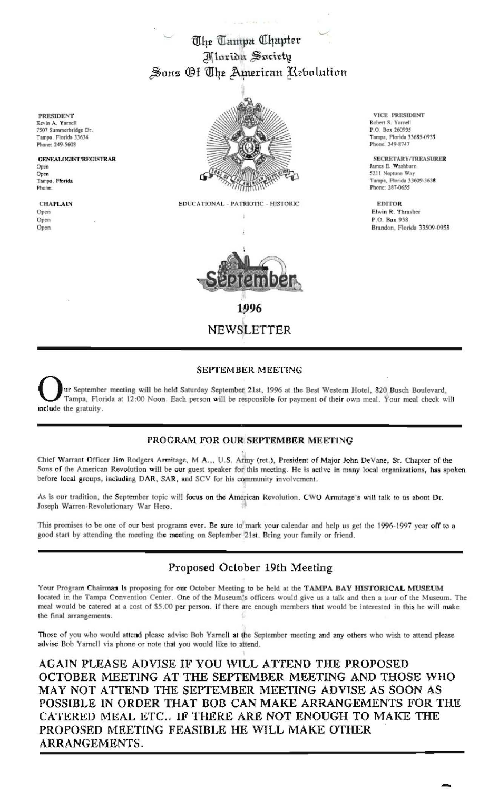The Tampa Chapter *Marida Society* Sons Of The American Rebolution

**PRESIDENT** Kevin A. Yarnell<br>7507 Summerbridge Dr. Tampa, Florida 33634 Phone: 249-5608

**GENEALOGIST/REGISTRAR** Open Open Tampa, Florida Phone:

**CHAPLAIN** Open Open Open



EDUCATIONAL - PATRIOTIC - HISTORIC



VICE PRESIDENT Robert S. Yarnell P.O. Box 260935 Tampa, Florida 33685-0935 Phone: 249-8747

SECRETARY/TREASURER James E. Washburn 5211 Neptune Way Tampa, Florida 33609-3638 Phone: 287-0655

**EDITOR** Elwin R. Thrasher P.O. Box 958 Brandon, Florida 33509-0958

### **SEPTEMBER MEETING**

ur September meeting will be held Saturday September 21st, 1996 at the Best Western Hotel, 820 Busch Boulevard, Tampa, Florida at 12:00 Noon. Each person will be responsible for payment of their own meal. Your meal check will include the gratuity.

## PROGRAM FOR OUR SEPTEMBER MEETING

Chief Warrant Officer Jim Rodgers Armitage, M.A.,, U.S. Army (ret.), President of Major John DeVane, Sr. Chapter of the Sons of the American Revolution will be our guest speaker for this meeting. He is active in many local organizations, has spoken before local groups, including DAR, SAR, and SCV for his community involvement.

As is our tradition, the September topic will focus on the American Revolution. CWO Armitage's will talk to us about Dr. Joseph Warren-Revolutionary War Hero.

This promises to be one of our best programs ever. Be sure to mark your calendar and help us get the 1996-1997 year off to a good start by attending the meeting the meeting on September 21st. Bring your family or friend.

# Proposed October 19th Meeting

Your Program Chairman is proposing for our October Meeting to be held at the TAMPA BAY HISTORICAL MUSEUM located in the Tampa Convention Center. One of the Museum's officers would give us a talk and then a tour of the Museum. The meal would be catered at a cost of \$5.00 per person. If there are enough members that would be interested in this he will make the final arrangements.

Those of you who would attend please advise Bob Yarnell at the September meeting and any others who wish to attend please advise Bob Yarnell via phone or note that you would like to attend.

AGAIN PLEASE ADVISE IF YOU WILL ATTEND THE PROPOSED OCTOBER MEETING AT THE SEPTEMBER MEETING AND THOSE WHO MAY NOT ATTEND THE SEPTEMBER MEETING ADVISE AS SOON AS POSSIBLE IN ORDER THAT BOB CAN MAKE ARRANGEMENTS FOR THE CATERED MEAL ETC.. IF THERE ARE NOT ENOUGH TO MAKE THE PROPOSED MEETING FEASIBLE HE WILL MAKE OTHER ARRANGEMENTS.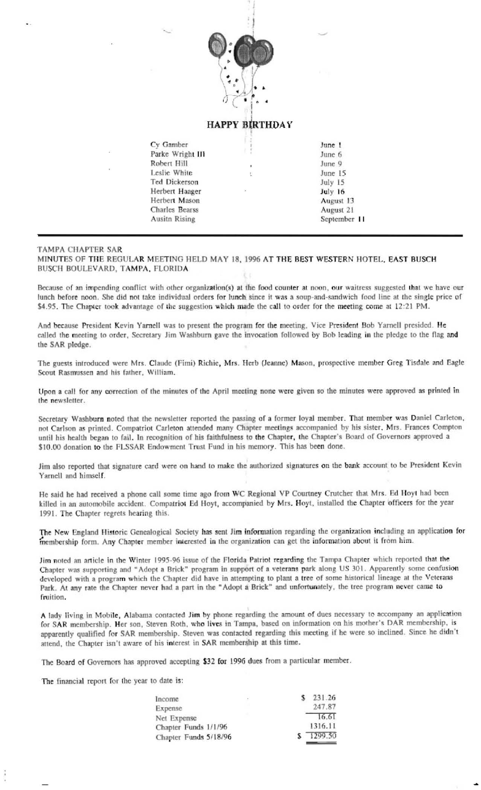

## **HAPPY BIRTHDAY**

| Cy Gamber             |    | June 1       |
|-----------------------|----|--------------|
| Parke Wright III      | ĵ  | June 6       |
| Robert Hill           | ł. | June 9       |
| Leslie White          | ŧ. | June 15      |
| Ted Dickerson         |    | July 15      |
| Herbert Haager        | G) | July 16      |
| Herbert Mason         |    | August 13    |
| <b>Charles Bearss</b> |    | August 21    |
| <b>Ausitn Rising</b>  |    | September 11 |
|                       |    |              |

#### **TAMPA CHAPTER SAR**

MINUTES OF THE REGULAR MEETING HELD MAY 18, 1996 AT THE BEST WESTERN HOTEL, EAST BUSCH BUSCH BOULEVARD, TAMPA, FLORIDA

Because of an impending conflict with other organization(s) at the food counter at noon, our waitress suggested that we have our lunch before noon. She did not take individual orders for lunch since it was a soup-and-sandwich food line at the single price of \$4.95. The Chapter took advantage of the suggestion which made the call to order for the meeting come at 12:21 PM.

And because President Kevin Yarnell was to present the program for the meeting. Vice President Bob Yarnell presided. He called the meeting to order, Secretary Jim Washburn gave the invocation followed by Bob leading in the pledge to the flag and the SAR pledge.

The guests introduced were Mrs. Claude (Fimi) Richie, Mrs. Herb (Jeanne) Mason, prospective member Greg Tisdale and Eagle Scout Rasmussen and his father, William.

Upon a call for any correction of the minutes of the April meeting none were given so the minutes were approved as printed in the newsletter.

Secretary Washburn noted that the newsletter reported the passing of a former loyal member. That member was Daniel Carleton, not Carlson as printed. Compatriot Carleton attended many Chapter meetings accompanied by his sister, Mrs. Frances Compton until his health began to fail. In recognition of his faithfulness to the Chapter, the Chapter's Board of Governors approved a \$10.00 donation to the FLSSAR Endowment Trust Fund in his memory. This has been done.

Jim also reported that signature card were on hand to make the authorized signatures on the bank account to be President Kevin Yarnell and himself.

He said he had received a phone call some time ago from WC Regional VP Courtney Crutcher that Mrs. Ed Hoyt had been killed in an automobile accident. Compatriot Ed Hoyt, accompanied by Mrs. Hoyt, installed the Chapter officers for the year 1991. The Chapter regrets hearing this.

The New England Historic Genealogical Society has sent Jim information regarding the organization including an application for membership form. Any Chapter member interested in the organization can get the information about it from him.

Jim noted an article in the Winter 1995-96 issue of the Florida Patriot regarding the Tampa Chapter which reported that the Chapter was supporting and "Adopt a Brick" program in support of a veterans park along US 301. Apparently some confusion developed with a program which the Chapter did have in attempting to plant a tree of some historical lineage at the Veterans Park. At any rate the Chapter never had a part in the "Adopt a Brick" and unfortunately, the tree program never came to fruition.

A lady living in Mobile, Alabama contacted Jim by phone regarding the amount of dues necessary to accompany an application for SAR membership. Her son, Steven Roth, who lives in Tampa, based on information on his mother's DAR membership, is apparently qualified for SAR membership. Steven was contacted regarding this meeting if he were so inclined. Since he didn't attend, the Chapter isn't aware of his interest in SAR membership at this time.

The Board of Governors has approved accepting \$32 for 1996 dues from a particular member.

The financial report for the year to date is:

| Income                | $\mathbb{R}^d$ | s. | 231.26  |
|-----------------------|----------------|----|---------|
| Expense               |                |    | 247.87  |
| Net Expense           |                |    | 16.61   |
| Chapter Funds 1/1/96  |                |    | 1316.11 |
| Chapter Funds 5/18/96 |                |    | 1299.50 |